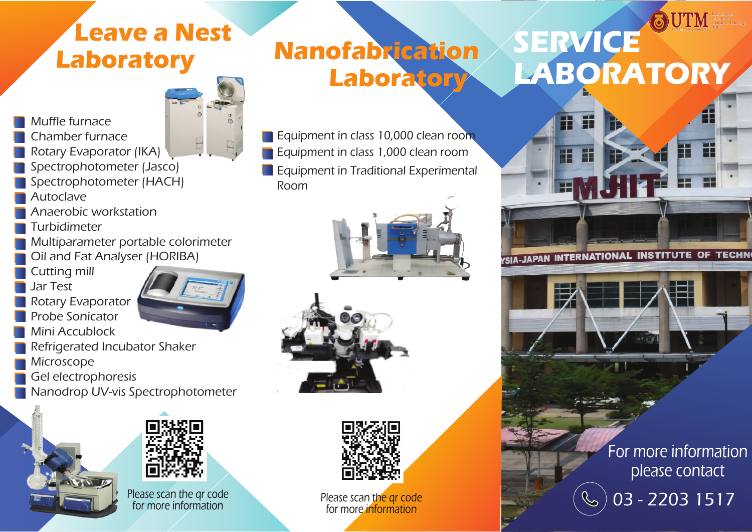## **Leave a Nest Laboratory**

## **Nanofabrication Laboratory**

Equipment in class 10,000 clean room Equipment in class 1,000 clean room **Equipment in Traditional Experimental** Room





Please scan the gr code for more information

# **SERVICE LABORATORY**



YSIA-JAPAN INTERNATIONAL INSTITUTE OF TECHN

For more information please contact 03 - 2203 1517

Muffle furnace Chamber furnace

- Rotary Evaporator (IKA)
- Spectrophotometer (Jasco)
- Spectrophotometer (HACH)
- Autoclave
- Anaerobic workstation
- Turbidimeter
- Multiparameter portable colorimeter Oil and Fat Analyser (HORIBA)
- Cutting mill
- Jar Test
- Rotary Evaporator Probe Sonicator Mini Accublock



- Refrigerated Incubator Shaker Microscope
- Gel electrophoresis
- Nanodrop UV-vis Spectrophotometer



Please scan the qr code for more information